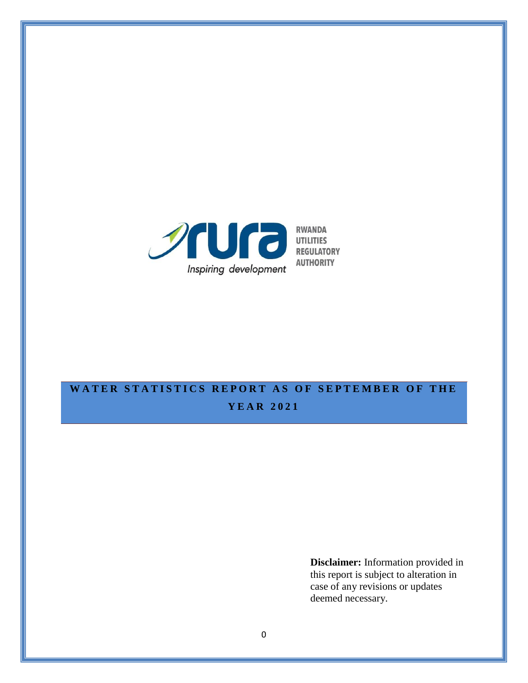

# WATER STATISTICS REPORT AS OF SEPTEMBER OF THE **Y E A R 2021**

**Disclaimer:** Information provided in this report is subject to alteration in case of any revisions or updates deemed necessary.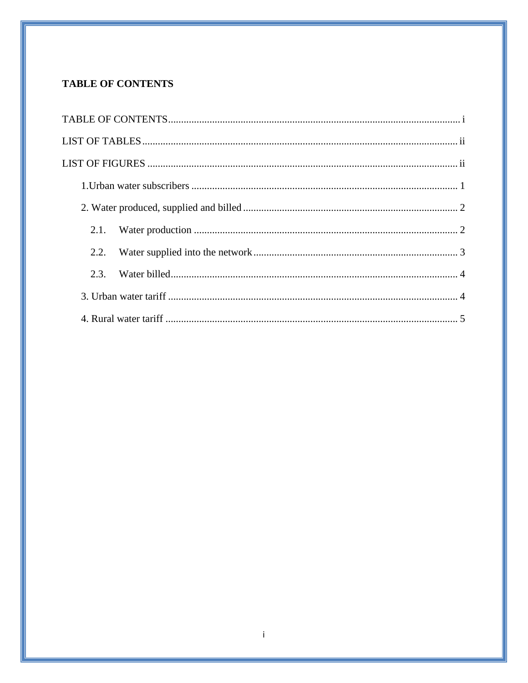## <span id="page-1-0"></span>**TABLE OF CONTENTS**

| 2.1. |  |
|------|--|
| 2.2. |  |
| 2.3. |  |
|      |  |
|      |  |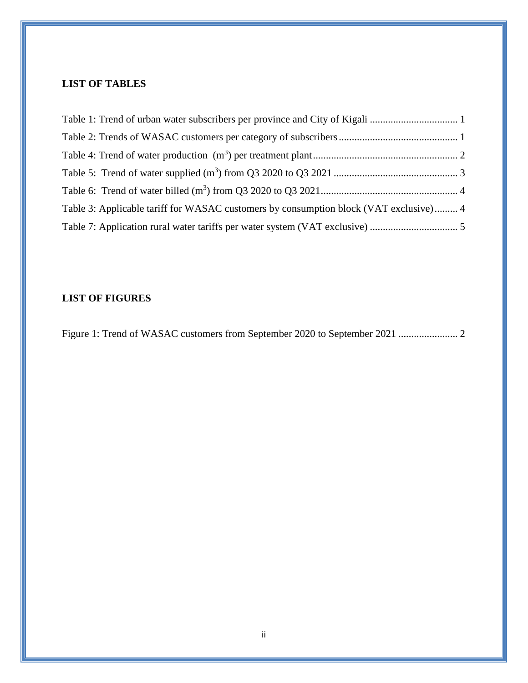## <span id="page-2-0"></span>**LIST OF TABLES**

| Table 3: Applicable tariff for WASAC customers by consumption block (VAT exclusive) 4 |  |
|---------------------------------------------------------------------------------------|--|
|                                                                                       |  |

### <span id="page-2-1"></span>**LIST OF FIGURES**

[Figure 1: Trend of WASAC customers from September 2020 to September 2021](#page-4-3) ....................... 2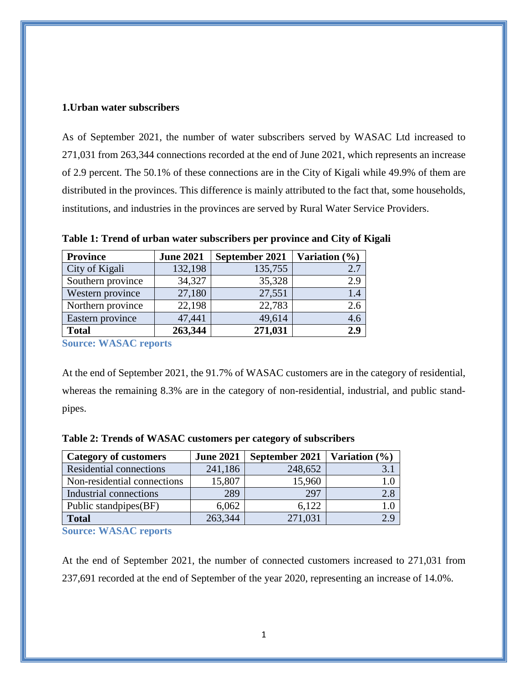#### <span id="page-3-0"></span>**1.Urban water subscribers**

As of September 2021, the number of water subscribers served by WASAC Ltd increased to 271,031 from 263,344 connections recorded at the end of June 2021, which represents an increase of 2.9 percent. The 50.1% of these connections are in the City of Kigali while 49.9% of them are distributed in the provinces. This difference is mainly attributed to the fact that, some households, institutions, and industries in the provinces are served by Rural Water Service Providers.

| <b>Province</b>   | <b>June 2021</b> | September 2021 | Variation (%) |
|-------------------|------------------|----------------|---------------|
| City of Kigali    | 132,198          | 135,755        | 2.7           |
| Southern province | 34,327           | 35,328         | 2.9           |
| Western province  | 27,180           | 27,551         | 1.4           |
| Northern province | 22,198           | 22,783         | 2.6           |
| Eastern province  | 47,441           | 49,614         | 4.6           |
| <b>Total</b>      | 263,344          | 271,031        | 2.9           |

<span id="page-3-1"></span>**Table 1: Trend of urban water subscribers per province and City of Kigali** 

**Source: WASAC reports**

At the end of September 2021, the 91.7% of WASAC customers are in the category of residential, whereas the remaining 8.3% are in the category of non-residential, industrial, and public standpipes.

| <b>Category of customers</b> | <b>June 2021</b> | September 2021   Variation $(\% )$ |     |
|------------------------------|------------------|------------------------------------|-----|
| Residential connections      | 241,186          | 248,652                            |     |
| Non-residential connections  | 15,807           | 15,960                             | 1.0 |
| Industrial connections       | 289              | 297                                | 2.8 |
| Public standpipes(BF)        | 6,062            | 6,122                              | 1 O |
| <b>Total</b>                 | 263,344          | 271,031                            |     |

<span id="page-3-2"></span>**Table 2: Trends of WASAC customers per category of subscribers**

**Source: WASAC reports**

At the end of September 2021, the number of connected customers increased to 271,031 from 237,691 recorded at the end of September of the year 2020, representing an increase of 14.0%.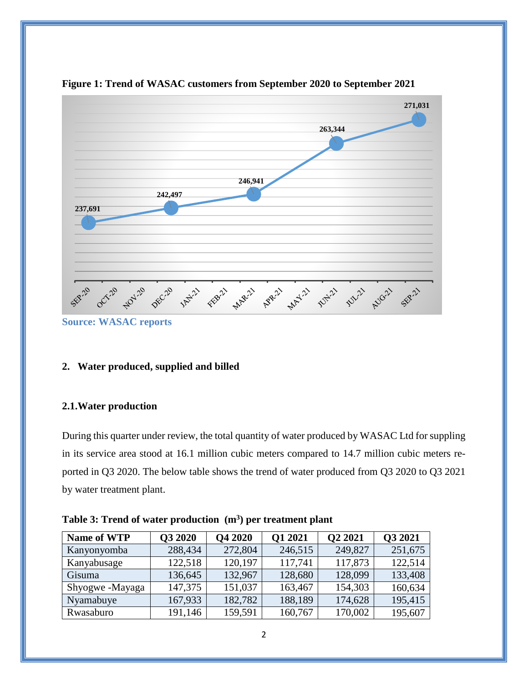

<span id="page-4-3"></span>**Figure 1: Trend of WASAC customers from September 2020 to September 2021**

**Source: WASAC reports**

#### <span id="page-4-0"></span>**2. Water produced, supplied and billed**

#### <span id="page-4-1"></span>**2.1.Water production**

During this quarter under review, the total quantity of water produced by WASAC Ltd for suppling in its service area stood at 16.1 million cubic meters compared to 14.7 million cubic meters reported in Q3 2020. The below table shows the trend of water produced from Q3 2020 to Q3 2021 by water treatment plant.

| <b>Name of WTP</b> | Q3 2020 | <b>Q4 2020</b> | Q1 2021 | Q2 2021 | <b>Q3 2021</b> |
|--------------------|---------|----------------|---------|---------|----------------|
| Kanyonyomba        | 288,434 | 272,804        | 246,515 | 249,827 | 251,675        |
| Kanyabusage        | 122,518 | 120,197        | 117,741 | 117,873 | 122,514        |
| Gisuma             | 136,645 | 132,967        | 128,680 | 128,099 | 133,408        |
| Shyogwe-Mayaga     | 147,375 | 151,037        | 163,467 | 154,303 | 160,634        |
| Nyamabuye          | 167,933 | 182,782        | 188,189 | 174,628 | 195,415        |
| Rwasaburo          | 191,146 | 159,591        | 160,767 | 170,002 | 195,607        |

<span id="page-4-2"></span>**Table 3: Trend of water production (m<sup>3</sup> ) per treatment plant**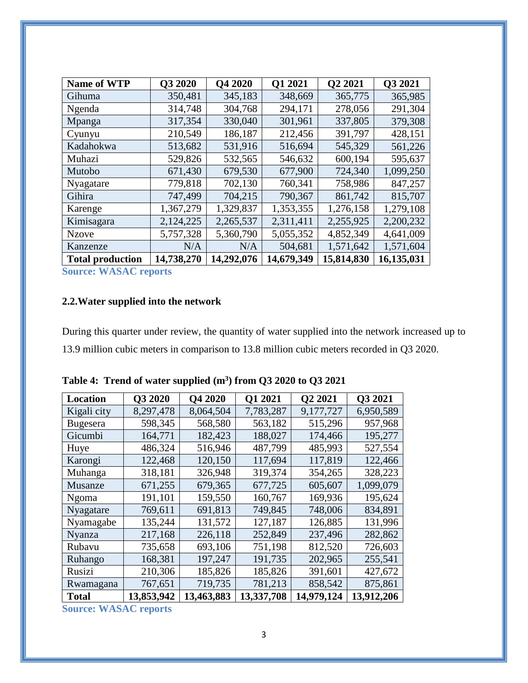| <b>Name of WTP</b>      | Q3 2020    | <b>Q4 2020</b> | Q1 2021    | Q2 2021    | Q3 2021    |
|-------------------------|------------|----------------|------------|------------|------------|
| Gihuma                  | 350,481    | 345,183        | 348,669    | 365,775    | 365,985    |
| Ngenda                  | 314,748    | 304,768        | 294,171    | 278,056    | 291,304    |
| Mpanga                  | 317,354    | 330,040        | 301,961    | 337,805    | 379,308    |
| Cyunyu                  | 210,549    | 186,187        | 212,456    | 391,797    | 428,151    |
| Kadahokwa               | 513,682    | 531,916        | 516,694    | 545,329    | 561,226    |
| Muhazi                  | 529,826    | 532,565        | 546,632    | 600,194    | 595,637    |
| Mutobo                  | 671,430    | 679,530        | 677,900    | 724,340    | 1,099,250  |
| Nyagatare               | 779,818    | 702,130        | 760,341    | 758,986    | 847,257    |
| Gihira                  | 747,499    | 704,215        | 790,367    | 861,742    | 815,707    |
| Karenge                 | 1,367,279  | 1,329,837      | 1,353,355  | 1,276,158  | 1,279,108  |
| Kimisagara              | 2,124,225  | 2,265,537      | 2,311,411  | 2,255,925  | 2,200,232  |
| <b>Nzove</b>            | 5,757,328  | 5,360,790      | 5,055,352  | 4,852,349  | 4,641,009  |
| Kanzenze                | N/A        | N/A            | 504,681    | 1,571,642  | 1,571,604  |
| <b>Total production</b> | 14,738,270 | 14,292,076     | 14,679,349 | 15,814,830 | 16,135,031 |

**Source: WASAC reports**

## <span id="page-5-0"></span>**2.2.Water supplied into the network**

During this quarter under review, the quantity of water supplied into the network increased up to 13.9 million cubic meters in comparison to 13.8 million cubic meters recorded in Q3 2020.

| Location        | Q3 2020    | Q4 2020    | <b>Q1 2021</b> | Q2 2021    | Q3 2021    |
|-----------------|------------|------------|----------------|------------|------------|
| Kigali city     | 8,297,478  | 8,064,504  | 7,783,287      | 9,177,727  | 6,950,589  |
| <b>Bugesera</b> | 598,345    | 568,580    | 563,182        | 515,296    | 957,968    |
| Gicumbi         | 164,771    | 182,423    | 188,027        | 174,466    | 195,277    |
| Huye            | 486,324    | 516,946    | 487,799        | 485,993    | 527,554    |
| Karongi         | 122,468    | 120,150    | 117,694        | 117,819    | 122,466    |
| Muhanga         | 318,181    | 326,948    | 319,374        | 354,265    | 328,223    |
| Musanze         | 671,255    | 679,365    | 677,725        | 605,607    | 1,099,079  |
| Ngoma           | 191,101    | 159,550    | 160,767        | 169,936    | 195,624    |
| Nyagatare       | 769,611    | 691,813    | 749,845        | 748,006    | 834,891    |
| Nyamagabe       | 135,244    | 131,572    | 127,187        | 126,885    | 131,996    |
| Nyanza          | 217,168    | 226,118    | 252,849        | 237,496    | 282,862    |
| Rubavu          | 735,658    | 693,106    | 751,198        | 812,520    | 726,603    |
| Ruhango         | 168,381    | 197,247    | 191,735        | 202,965    | 255,541    |
| Rusizi          | 210,306    | 185,826    | 185,826        | 391,601    | 427,672    |
| Rwamagana       | 767,651    | 719,735    | 781,213        | 858,542    | 875,861    |
| <b>Total</b>    | 13,853,942 | 13,463,883 | 13,337,708     | 14,979,124 | 13,912,206 |

<span id="page-5-1"></span>

| Table 4: Trend of water supplied (m <sup>3</sup> ) from Q3 2020 to Q3 2021 |  |  |  |  |  |  |
|----------------------------------------------------------------------------|--|--|--|--|--|--|
|----------------------------------------------------------------------------|--|--|--|--|--|--|

**Source: WASAC reports**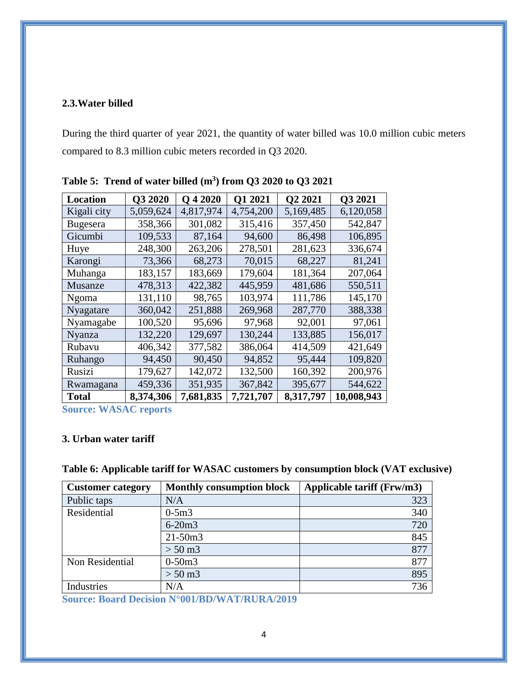#### <span id="page-6-0"></span>**2.3.Water billed**

During the third quarter of year 2021, the quantity of water billed was 10.0 million cubic meters compared to 8.3 million cubic meters recorded in Q3 2020.

| Location        | Q3 2020   | O 4 2020  | Q1 2021   | Q2 2021   | Q3 2021    |
|-----------------|-----------|-----------|-----------|-----------|------------|
| Kigali city     | 5,059,624 | 4,817,974 | 4,754,200 | 5,169,485 | 6,120,058  |
| <b>Bugesera</b> | 358,366   | 301,082   | 315,416   | 357,450   | 542,847    |
| Gicumbi         | 109,533   | 87,164    | 94,600    | 86,498    | 106,895    |
| Huye            | 248,300   | 263,206   | 278,501   | 281,623   | 336,674    |
| Karongi         | 73,366    | 68,273    | 70,015    | 68,227    | 81,241     |
| Muhanga         | 183,157   | 183,669   | 179,604   | 181,364   | 207,064    |
| Musanze         | 478,313   | 422,382   | 445,959   | 481,686   | 550,511    |
| Ngoma           | 131,110   | 98,765    | 103,974   | 111,786   | 145,170    |
| Nyagatare       | 360,042   | 251,888   | 269,968   | 287,770   | 388,338    |
| Nyamagabe       | 100,520   | 95,696    | 97,968    | 92,001    | 97,061     |
| Nyanza          | 132,220   | 129,697   | 130,244   | 133,885   | 156,017    |
| Rubavu          | 406,342   | 377,582   | 386,064   | 414,509   | 421,649    |
| Ruhango         | 94,450    | 90,450    | 94,852    | 95,444    | 109,820    |
| Rusizi          | 179,627   | 142,072   | 132,500   | 160,392   | 200,976    |
| Rwamagana       | 459,336   | 351,935   | 367,842   | 395,677   | 544,622    |
| <b>Total</b>    | 8,374,306 | 7,681,835 | 7,721,707 | 8,317,797 | 10,008,943 |

<span id="page-6-2"></span>**Table 5: Trend of water billed (m<sup>3</sup> ) from Q3 2020 to Q3 2021**

**Source: WASAC reports**

#### <span id="page-6-1"></span>**3. Urban water tariff**

<span id="page-6-3"></span>

| Table 6: Applicable tariff for WASAC customers by consumption block (VAT exclusive) |  |  |
|-------------------------------------------------------------------------------------|--|--|
|                                                                                     |  |  |

| <b>Customer category</b> | <b>Monthly consumption block</b> | Applicable tariff (Frw/m3) |
|--------------------------|----------------------------------|----------------------------|
| Public taps              | N/A                              | 323                        |
| Residential              | $0-5m3$                          | 340                        |
|                          | $6 - 20m3$                       | 720                        |
|                          | $21 - 50m3$                      | 845                        |
|                          | $> 50 \,\mathrm{m}$ 3            | 877                        |
| Non Residential          | $0-50m3$                         | 877                        |
|                          | $> 50 \,\mathrm{m}$ 3            | 895                        |
| Industries               | N/A                              | 736                        |

**Source: Board [Decision N°001/BD/WAT/RURA/2019](https://www.rura.rw/fileadmin/Documents/Water/Board%20Decisions/Board_Decision_For_Urban_Water_End_User_tariffs.pdf)**